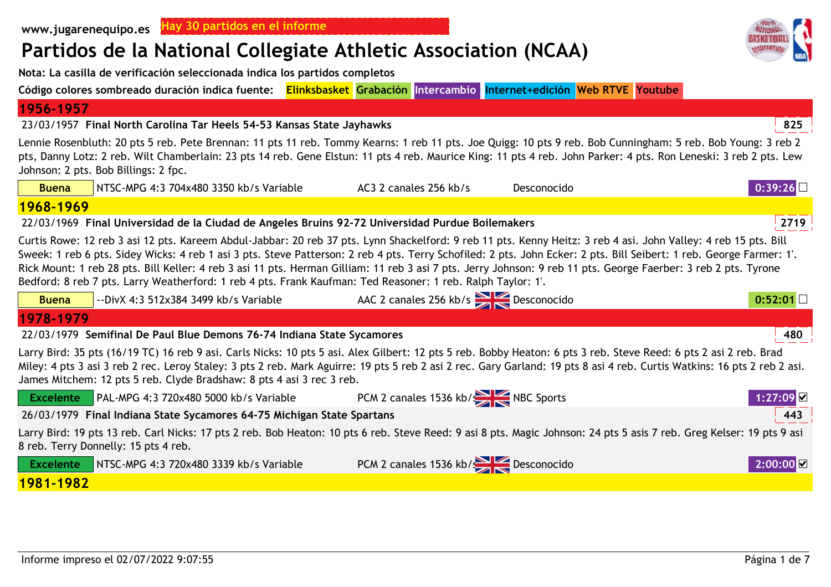# **Partidos de la National Collegiate Athletic Association (NCAA)**

**Nota: La casilla de verificación seleccionada indica los partidos completos**

**Código colores sombreado duración indica fuente: Elinksbasket Grabación Intercambio Internet+edición Web RTVE Youtube**

### **1956-1957**

23/03/1957 **<sup>825</sup>Final North Carolina Tar Heels 54-53 Kansas State Jayhawks**

Lennie Rosenbluth: 20 pts 5 reb. Pete Brennan: 11 pts 11 reb. Tommy Kearns: 1 reb 11 pts. Joe Quigg: 10 pts 9 reb. Bob Cunningham: 5 reb. Bob Young: 3 reb 2 pts, Danny Lotz: 2 reb. Wilt Chamberlain: 23 pts 14 reb. Gene Elstun: 11 pts 4 reb. Maurice King: 11 pts 4 reb. John Parker: 4 pts. Ron Leneski: 3 reb 2 pts. Lew Johnson: 2 pts. Bob Billings: 2 fpc.

| <b>Buena</b>                                                                                                                                                                                                                                                                                                                                                                                                                                                                                                                                                                                                              | NTSC-MPG 4:3 704x480 3350 kb/s Variable                                                          | AC3 2 canales 256 kb/s                | Desconocido | 0:39:26               |  |
|---------------------------------------------------------------------------------------------------------------------------------------------------------------------------------------------------------------------------------------------------------------------------------------------------------------------------------------------------------------------------------------------------------------------------------------------------------------------------------------------------------------------------------------------------------------------------------------------------------------------------|--------------------------------------------------------------------------------------------------|---------------------------------------|-------------|-----------------------|--|
| 1968-1969                                                                                                                                                                                                                                                                                                                                                                                                                                                                                                                                                                                                                 |                                                                                                  |                                       |             |                       |  |
|                                                                                                                                                                                                                                                                                                                                                                                                                                                                                                                                                                                                                           | 22/03/1969 Final Universidad de la Ciudad de Angeles Bruins 92-72 Universidad Purdue Boilemakers |                                       |             | 2719                  |  |
| Curtis Rowe: 12 reb 3 asi 12 pts. Kareem Abdul-Jabbar: 20 reb 37 pts. Lynn Shackelford: 9 reb 11 pts. Kenny Heitz: 3 reb 4 asi. John Valley: 4 reb 15 pts. Bill<br>Sweek: 1 reb 6 pts. Sidey Wicks: 4 reb 1 asi 3 pts. Steve Patterson: 2 reb 4 pts. Terry Schofiled: 2 pts. John Ecker: 2 pts. Bill Seibert: 1 reb. George Farmer: 1'.<br>Rick Mount: 1 reb 28 pts. Bill Keller: 4 reb 3 asi 11 pts. Herman Gilliam: 11 reb 3 asi 7 pts. Jerry Johnson: 9 reb 11 pts. George Faerber: 3 reb 2 pts. Tyrone<br>Bedford: 8 reb 7 pts. Larry Weatherford: 1 reb 4 pts. Frank Kaufman: Ted Reasoner: 1 reb. Ralph Taylor: 1'. |                                                                                                  |                                       |             |                       |  |
| <b>Buena</b>                                                                                                                                                                                                                                                                                                                                                                                                                                                                                                                                                                                                              | --DivX 4:3 512x384 3499 kb/s Variable                                                            | AAC 2 canales 256 kb/s Desconocido    |             | 0:52:01               |  |
| 1978-1979                                                                                                                                                                                                                                                                                                                                                                                                                                                                                                                                                                                                                 |                                                                                                  |                                       |             |                       |  |
|                                                                                                                                                                                                                                                                                                                                                                                                                                                                                                                                                                                                                           | 22/03/1979 Semifinal De Paul Blue Demons 76-74 Indiana State Sycamores                           |                                       |             | 480                   |  |
| Larry Bird: 35 pts (16/19 TC) 16 reb 9 asi. Carls Nicks: 10 pts 5 asi. Alex Gilbert: 12 pts 5 reb. Bobby Heaton: 6 pts 3 reb. Steve Reed: 6 pts 2 asi 2 reb. Brad<br>Miley: 4 pts 3 asi 3 reb 2 rec. Leroy Staley: 3 pts 2 reb. Mark Aguirre: 19 pts 5 reb 2 asi 2 rec. Gary Garland: 19 pts 8 asi 4 reb. Curtis Watkins: 16 pts 2 reb 2 asi.<br>James Mitchem: 12 pts 5 reb. Clyde Bradshaw: 8 pts 4 asi 3 rec 3 reb.                                                                                                                                                                                                    |                                                                                                  |                                       |             |                       |  |
| <b>Excelente</b>                                                                                                                                                                                                                                                                                                                                                                                                                                                                                                                                                                                                          | PAL-MPG 4:3 720x480 5000 kb/s Variable                                                           | PCM 2 canales 1536 kb/s NBC Sports    |             | 1:27:09⊠              |  |
| 443<br>26/03/1979 Final Indiana State Sycamores 64-75 Michigan State Spartans                                                                                                                                                                                                                                                                                                                                                                                                                                                                                                                                             |                                                                                                  |                                       |             |                       |  |
| Larry Bird: 19 pts 13 reb. Carl Nicks: 17 pts 2 reb. Bob Heaton: 10 pts 6 reb. Steve Reed: 9 asi 8 pts. Magic Johnson: 24 pts 5 asis 7 reb. Greg Kelser: 19 pts 9 asi<br>8 reb. Terry Donnelly: 15 pts 4 reb.                                                                                                                                                                                                                                                                                                                                                                                                             |                                                                                                  |                                       |             |                       |  |
| <b>Excelente</b>                                                                                                                                                                                                                                                                                                                                                                                                                                                                                                                                                                                                          | NTSC-MPG 4:3 720x480 3339 kb/s Variable                                                          | PCM 2 canales 1536 kb/<br>Pesconocido |             | $2:00:00$ $\boxtimes$ |  |
| 1981-1982                                                                                                                                                                                                                                                                                                                                                                                                                                                                                                                                                                                                                 |                                                                                                  |                                       |             |                       |  |

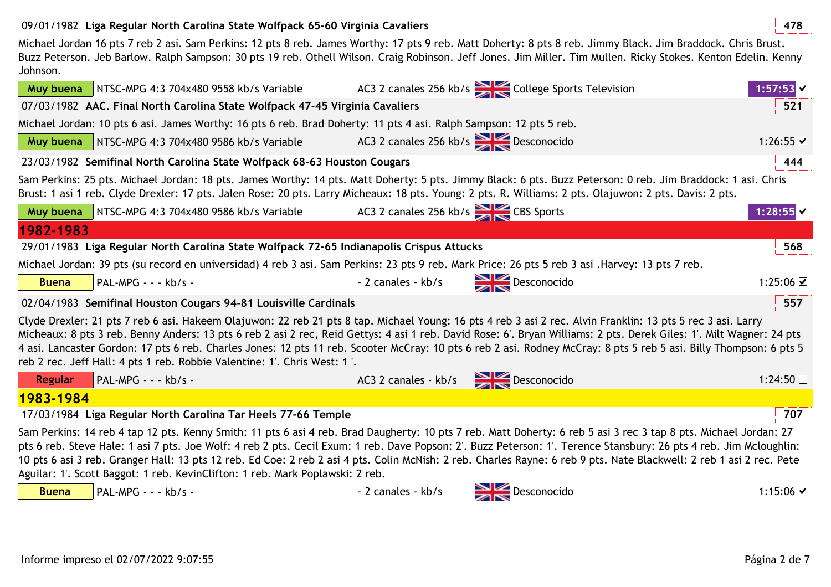## 09/01/1982 **<sup>478</sup>Liga Regular North Carolina State Wolfpack 65-60 Virginia Cavaliers**

Michael Jordan 16 pts 7 reb 2 asi. Sam Perkins: 12 pts 8 reb. James Worthy: 17 pts 9 reb. Matt Doherty: 8 pts 8 reb. Jimmy Black. Jim Braddock. Chris Brust. Buzz Peterson. Jeb Barlow. Ralph Sampson: 30 pts 19 reb. Othell Wilson. Craig Robinson. Jeff Jones. Jim Miller. Tim Mullen. Ricky Stokes. Kenton Edelin. Kenny Johnson.

|                                                                                                                                                                                                                                                                                                                                                                                                                                                                                                                                                                                       | Muy buena NTSC-MPG 4:3 704x480 9558 kb/s Variable                                                                                                                                                                                                                                                                                                                                                                                                                                                                                                                                               |                                                                                                                            | AC3 2 canales 256 kb/s $\sum$ College Sports Television | 1:57:53                  |
|---------------------------------------------------------------------------------------------------------------------------------------------------------------------------------------------------------------------------------------------------------------------------------------------------------------------------------------------------------------------------------------------------------------------------------------------------------------------------------------------------------------------------------------------------------------------------------------|-------------------------------------------------------------------------------------------------------------------------------------------------------------------------------------------------------------------------------------------------------------------------------------------------------------------------------------------------------------------------------------------------------------------------------------------------------------------------------------------------------------------------------------------------------------------------------------------------|----------------------------------------------------------------------------------------------------------------------------|---------------------------------------------------------|--------------------------|
|                                                                                                                                                                                                                                                                                                                                                                                                                                                                                                                                                                                       | 07/03/1982 AAC. Final North Carolina State Wolfpack 47-45 Virginia Cavaliers                                                                                                                                                                                                                                                                                                                                                                                                                                                                                                                    |                                                                                                                            |                                                         | 521                      |
|                                                                                                                                                                                                                                                                                                                                                                                                                                                                                                                                                                                       | Michael Jordan: 10 pts 6 asi. James Worthy: 16 pts 6 reb. Brad Doherty: 11 pts 4 asi. Ralph Sampson: 12 pts 5 reb.                                                                                                                                                                                                                                                                                                                                                                                                                                                                              |                                                                                                                            |                                                         |                          |
|                                                                                                                                                                                                                                                                                                                                                                                                                                                                                                                                                                                       | <b>Muy buena</b> NTSC-MPG 4:3 704x480 9586 kb/s Variable                                                                                                                                                                                                                                                                                                                                                                                                                                                                                                                                        | AC3 2 canales 256 kb/s Desconocido                                                                                         |                                                         | 1:26:55 ☑                |
|                                                                                                                                                                                                                                                                                                                                                                                                                                                                                                                                                                                       | 23/03/1982 Semifinal North Carolina State Wolfpack 68-63 Houston Cougars                                                                                                                                                                                                                                                                                                                                                                                                                                                                                                                        |                                                                                                                            |                                                         | 444                      |
|                                                                                                                                                                                                                                                                                                                                                                                                                                                                                                                                                                                       | Sam Perkins: 25 pts. Michael Jordan: 18 pts. James Worthy: 14 pts. Matt Doherty: 5 pts. Jimmy Black: 6 pts. Buzz Peterson: 0 reb. Jim Braddock: 1 asi. Chris<br>Brust: 1 asi 1 reb. Clyde Drexler: 17 pts. Jalen Rose: 20 pts. Larry Micheaux: 18 pts. Young: 2 pts. R. Williams: 2 pts. Olajuwon: 2 pts. Davis: 2 pts.                                                                                                                                                                                                                                                                         |                                                                                                                            |                                                         |                          |
|                                                                                                                                                                                                                                                                                                                                                                                                                                                                                                                                                                                       | Muy buena   NTSC-MPG 4:3 704x480 9586 kb/s Variable                                                                                                                                                                                                                                                                                                                                                                                                                                                                                                                                             | AC3 2 canales 256 kb/s $\geq$ CBS Sports                                                                                   |                                                         | $1:28:55$ $\blacksquare$ |
| 1982-1983                                                                                                                                                                                                                                                                                                                                                                                                                                                                                                                                                                             |                                                                                                                                                                                                                                                                                                                                                                                                                                                                                                                                                                                                 |                                                                                                                            |                                                         |                          |
|                                                                                                                                                                                                                                                                                                                                                                                                                                                                                                                                                                                       | 29/01/1983 Liga Regular North Carolina State Wolfpack 72-65 Indianapolis Crispus Attucks                                                                                                                                                                                                                                                                                                                                                                                                                                                                                                        |                                                                                                                            |                                                         | 568                      |
|                                                                                                                                                                                                                                                                                                                                                                                                                                                                                                                                                                                       | Michael Jordan: 39 pts (su record en universidad) 4 reb 3 asi. Sam Perkins: 23 pts 9 reb. Mark Price: 26 pts 5 reb 3 asi. Harvey: 13 pts 7 reb.                                                                                                                                                                                                                                                                                                                                                                                                                                                 |                                                                                                                            |                                                         |                          |
| <b>Buena</b>                                                                                                                                                                                                                                                                                                                                                                                                                                                                                                                                                                          | PAL-MPG - - - kb/s -                                                                                                                                                                                                                                                                                                                                                                                                                                                                                                                                                                            | - 2 canales - kb/s Desconocido                                                                                             |                                                         | 1:25:06 ☑                |
|                                                                                                                                                                                                                                                                                                                                                                                                                                                                                                                                                                                       | 02/04/1983 Semifinal Houston Cougars 94-81 Louisville Cardinals                                                                                                                                                                                                                                                                                                                                                                                                                                                                                                                                 |                                                                                                                            |                                                         | 557 $\frac{1}{2}$        |
| Clyde Drexler: 21 pts 7 reb 6 asi. Hakeem Olajuwon: 22 reb 21 pts 8 tap. Michael Young: 16 pts 4 reb 3 asi 2 rec. Alvin Franklin: 13 pts 5 rec 3 asi. Larry<br>Micheaux: 8 pts 3 reb. Benny Anders: 13 pts 6 reb 2 asi 2 rec, Reid Gettys: 4 asi 1 reb. David Rose: 6'. Bryan Williams: 2 pts. Derek Giles: 1'. Milt Wagner: 24 pts<br>4 asi. Lancaster Gordon: 17 pts 6 reb. Charles Jones: 12 pts 11 reb. Scooter McCray: 10 pts 6 reb 2 asi. Rodney McCray: 8 pts 5 reb 5 asi. Billy Thompson: 6 pts 5<br>reb 2 rec. Jeff Hall: 4 pts 1 reb. Robbie Valentine: 1'. Chris West: 1'. |                                                                                                                                                                                                                                                                                                                                                                                                                                                                                                                                                                                                 |                                                                                                                            |                                                         |                          |
| <b>Regular</b>                                                                                                                                                                                                                                                                                                                                                                                                                                                                                                                                                                        | PAL-MPG - - - kb/s -                                                                                                                                                                                                                                                                                                                                                                                                                                                                                                                                                                            | AC3 2 canales - kb/s Desconocido                                                                                           |                                                         | 1:24:50 $\Box$           |
| 1983-1984                                                                                                                                                                                                                                                                                                                                                                                                                                                                                                                                                                             |                                                                                                                                                                                                                                                                                                                                                                                                                                                                                                                                                                                                 |                                                                                                                            |                                                         |                          |
|                                                                                                                                                                                                                                                                                                                                                                                                                                                                                                                                                                                       | 17/03/1984 Liga Regular North Carolina Tar Heels 77-66 Temple                                                                                                                                                                                                                                                                                                                                                                                                                                                                                                                                   |                                                                                                                            |                                                         | 707                      |
|                                                                                                                                                                                                                                                                                                                                                                                                                                                                                                                                                                                       | Sam Perkins: 14 reb 4 tap 12 pts. Kenny Smith: 11 pts 6 asi 4 reb. Brad Daugherty: 10 pts 7 reb. Matt Doherty: 6 reb 5 asi 3 rec 3 tap 8 pts. Michael Jordan: 27<br>pts 6 reb. Steve Hale: 1 asi 7 pts. Joe Wolf: 4 reb 2 pts. Cecil Exum: 1 reb. Dave Popson: 2'. Buzz Peterson: 1'. Terence Stansbury: 26 pts 4 reb. Jim Mcloughlin:<br>10 pts 6 asi 3 reb. Granger Hall: 13 pts 12 reb. Ed Coe: 2 reb 2 asi 4 pts. Colin McNish: 2 reb. Charles Rayne: 6 reb 9 pts. Nate Blackwell: 2 reb 1 asi 2 rec. Pete<br>Aguilar: 1'. Scott Baggot: 1 reb. KevinClifton: 1 reb. Mark Poplawski: 2 reb. |                                                                                                                            |                                                         |                          |
| <b>Buena</b>                                                                                                                                                                                                                                                                                                                                                                                                                                                                                                                                                                          | PAL-MPG - - - kb/s -                                                                                                                                                                                                                                                                                                                                                                                                                                                                                                                                                                            | - 2 canales - kb/s<br><br><br><br><br><br><br><br><br><br><br><br><br><br><br><br><br><br><br><br><br><br><br><br><br><br> |                                                         | $1:15:06$ $\Box$         |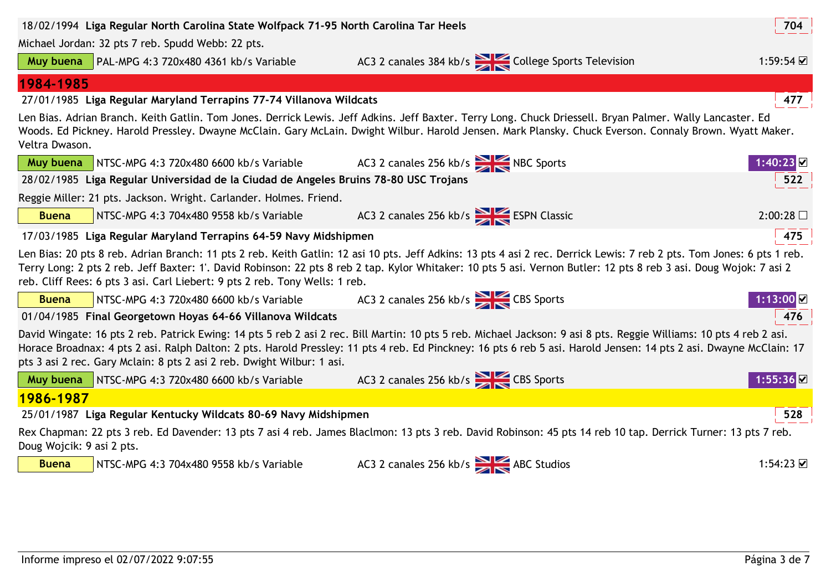| 18/02/1994 Liga Regular North Carolina State Wolfpack 71-95 North Carolina Tar Heels                                                                                                                                                                                                                                                                                                                                |                                                                                      |                                                                                                                                                                                                                                                                                                                                              | 704                    |  |
|---------------------------------------------------------------------------------------------------------------------------------------------------------------------------------------------------------------------------------------------------------------------------------------------------------------------------------------------------------------------------------------------------------------------|--------------------------------------------------------------------------------------|----------------------------------------------------------------------------------------------------------------------------------------------------------------------------------------------------------------------------------------------------------------------------------------------------------------------------------------------|------------------------|--|
|                                                                                                                                                                                                                                                                                                                                                                                                                     | Michael Jordan: 32 pts 7 reb. Spudd Webb: 22 pts.                                    |                                                                                                                                                                                                                                                                                                                                              |                        |  |
| Muy buena                                                                                                                                                                                                                                                                                                                                                                                                           | PAL-MPG 4:3 720x480 4361 kb/s Variable                                               | AC3 2 canales 384 kb/s College Sports Television                                                                                                                                                                                                                                                                                             | 1:59:54 $\Box$         |  |
| 1984-1985                                                                                                                                                                                                                                                                                                                                                                                                           |                                                                                      |                                                                                                                                                                                                                                                                                                                                              |                        |  |
|                                                                                                                                                                                                                                                                                                                                                                                                                     | 27/01/1985 Liga Regular Maryland Terrapins 77-74 Villanova Wildcats                  |                                                                                                                                                                                                                                                                                                                                              | 477                    |  |
| Len Bias. Adrian Branch. Keith Gatlin. Tom Jones. Derrick Lewis. Jeff Adkins. Jeff Baxter. Terry Long. Chuck Driessell. Bryan Palmer. Wally Lancaster. Ed<br>Woods. Ed Pickney. Harold Pressley. Dwayne McClain. Gary McLain. Dwight Wilbur. Harold Jensen. Mark Plansky. Chuck Everson. Connaly Brown. Wyatt Maker.<br>Veltra Dwason.                                                                              |                                                                                      |                                                                                                                                                                                                                                                                                                                                              |                        |  |
| Muy buena                                                                                                                                                                                                                                                                                                                                                                                                           | NTSC-MPG 4:3 720x480 6600 kb/s Variable                                              | AC3 2 canales 256 kb/s NBC Sports                                                                                                                                                                                                                                                                                                            | 1:40:23 $□$            |  |
|                                                                                                                                                                                                                                                                                                                                                                                                                     | 28/02/1985 Liga Regular Universidad de la Ciudad de Angeles Bruins 78-80 USC Trojans |                                                                                                                                                                                                                                                                                                                                              | 522                    |  |
|                                                                                                                                                                                                                                                                                                                                                                                                                     | Reggie Miller: 21 pts. Jackson. Wright. Carlander. Holmes. Friend.                   |                                                                                                                                                                                                                                                                                                                                              |                        |  |
| <b>Buena</b>                                                                                                                                                                                                                                                                                                                                                                                                        | NTSC-MPG 4:3 704x480 9558 kb/s Variable                                              | AC3 2 canales 256 kb/s ESPN Classic                                                                                                                                                                                                                                                                                                          | 2:00:28                |  |
|                                                                                                                                                                                                                                                                                                                                                                                                                     | 17/03/1985 Liga Regular Maryland Terrapins 64-59 Navy Midshipmen                     |                                                                                                                                                                                                                                                                                                                                              | 475                    |  |
|                                                                                                                                                                                                                                                                                                                                                                                                                     | reb. Cliff Rees: 6 pts 3 asi. Carl Liebert: 9 pts 2 reb. Tony Wells: 1 reb.          | Len Bias: 20 pts 8 reb. Adrian Branch: 11 pts 2 reb. Keith Gatlin: 12 asi 10 pts. Jeff Adkins: 13 pts 4 asi 2 rec. Derrick Lewis: 7 reb 2 pts. Tom Jones: 6 pts 1 reb.<br>Terry Long: 2 pts 2 reb. Jeff Baxter: 1'. David Robinson: 22 pts 8 reb 2 tap. Kylor Whitaker: 10 pts 5 asi. Vernon Butler: 12 pts 8 reb 3 asi. Doug Wojok: 7 asi 2 |                        |  |
| <b>Buena</b>                                                                                                                                                                                                                                                                                                                                                                                                        | NTSC-MPG 4:3 720x480 6600 kb/s Variable 4C3 2 canales 256 kb/s                       |                                                                                                                                                                                                                                                                                                                                              | 1:13:00 <mark>☑</mark> |  |
|                                                                                                                                                                                                                                                                                                                                                                                                                     | 01/04/1985 Final Georgetown Hoyas 64-66 Villanova Wildcats                           |                                                                                                                                                                                                                                                                                                                                              | 476                    |  |
| David Wingate: 16 pts 2 reb. Patrick Ewing: 14 pts 5 reb 2 asi 2 rec. Bill Martin: 10 pts 5 reb. Michael Jackson: 9 asi 8 pts. Reggie Williams: 10 pts 4 reb 2 asi.<br>Horace Broadnax: 4 pts 2 asi. Ralph Dalton: 2 pts. Harold Pressley: 11 pts 4 reb. Ed Pinckney: 16 pts 6 reb 5 asi. Harold Jensen: 14 pts 2 asi. Dwayne McClain: 17<br>pts 3 asi 2 rec. Gary Mclain: 8 pts 2 asi 2 reb. Dwight Wilbur: 1 asi. |                                                                                      |                                                                                                                                                                                                                                                                                                                                              |                        |  |
| Muy buena                                                                                                                                                                                                                                                                                                                                                                                                           | NTSC-MPG 4:3 720x480 6600 kb/s Variable                                              | AC3 2 canales 256 kb/s CBS Sports                                                                                                                                                                                                                                                                                                            | 1:55:36                |  |
| 1986-1987                                                                                                                                                                                                                                                                                                                                                                                                           |                                                                                      |                                                                                                                                                                                                                                                                                                                                              |                        |  |
| 25/01/1987 Liga Regular Kentucky Wildcats 80-69 Navy Midshipmen<br>528                                                                                                                                                                                                                                                                                                                                              |                                                                                      |                                                                                                                                                                                                                                                                                                                                              |                        |  |
| Rex Chapman: 22 pts 3 reb. Ed Davender: 13 pts 7 asi 4 reb. James Blaclmon: 13 pts 3 reb. David Robinson: 45 pts 14 reb 10 tap. Derrick Turner: 13 pts 7 reb.<br>Doug Wojcik: 9 asi 2 pts.                                                                                                                                                                                                                          |                                                                                      |                                                                                                                                                                                                                                                                                                                                              |                        |  |
| <b>Buena</b>                                                                                                                                                                                                                                                                                                                                                                                                        | NTSC-MPG 4:3 704x480 9558 kb/s Variable                                              | AC3 2 canales 256 kb/s ABC Studios                                                                                                                                                                                                                                                                                                           | 1:54:23 ☑              |  |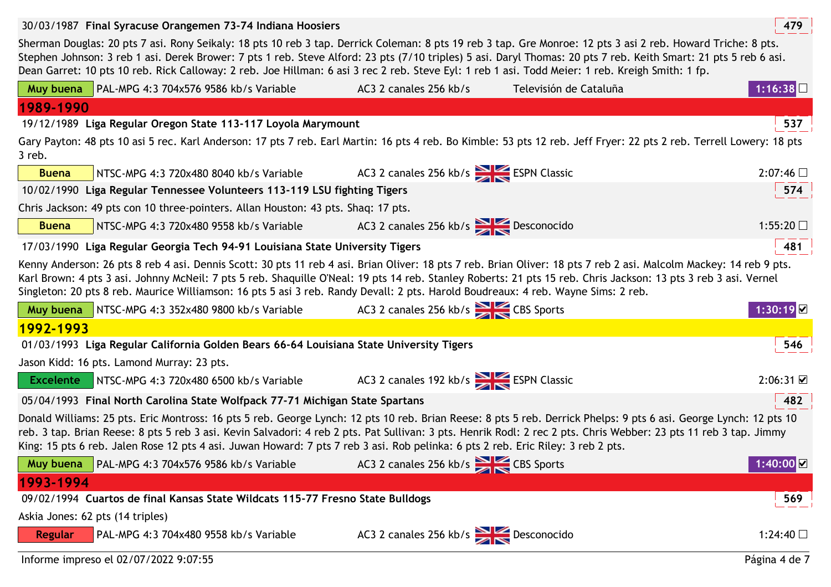| 30/03/1987 Final Syracuse Orangemen 73-74 Indiana Hoosiers                                                                                                                                                                                                                                                                                                                                                                                                                           |                                         |                        | 479                |  |
|--------------------------------------------------------------------------------------------------------------------------------------------------------------------------------------------------------------------------------------------------------------------------------------------------------------------------------------------------------------------------------------------------------------------------------------------------------------------------------------|-----------------------------------------|------------------------|--------------------|--|
| Sherman Douglas: 20 pts 7 asi. Rony Seikaly: 18 pts 10 reb 3 tap. Derrick Coleman: 8 pts 19 reb 3 tap. Gre Monroe: 12 pts 3 asi 2 reb. Howard Triche: 8 pts.<br>Stephen Johnson: 3 reb 1 asi. Derek Brower: 7 pts 1 reb. Steve Alford: 23 pts (7/10 triples) 5 asi. Daryl Thomas: 20 pts 7 reb. Keith Smart: 21 pts 5 reb 6 asi.<br>Dean Garret: 10 pts 10 reb. Rick Calloway: 2 reb. Joe Hillman: 6 asi 3 rec 2 reb. Steve Eyl: 1 reb 1 asi. Todd Meier: 1 reb. Kreigh Smith: 1 fp. |                                         |                        |                    |  |
| PAL-MPG 4:3 704x576 9586 kb/s Variable<br>Muy buena                                                                                                                                                                                                                                                                                                                                                                                                                                  | AC3 2 canales 256 kb/s                  | Televisión de Cataluña | 1:16:38 $\square$  |  |
| 1989-1990                                                                                                                                                                                                                                                                                                                                                                                                                                                                            |                                         |                        |                    |  |
| 19/12/1989 Liga Regular Oregon State 113-117 Loyola Marymount                                                                                                                                                                                                                                                                                                                                                                                                                        |                                         |                        | 537                |  |
| Gary Payton: 48 pts 10 asi 5 rec. Karl Anderson: 17 pts 7 reb. Earl Martin: 16 pts 4 reb. Bo Kimble: 53 pts 12 reb. Jeff Fryer: 22 pts 2 reb. Terrell Lowery: 18 pts<br>3 reb.                                                                                                                                                                                                                                                                                                       |                                         |                        |                    |  |
| <b>Buena</b><br>NTSC-MPG 4:3 720x480 8040 kb/s Variable                                                                                                                                                                                                                                                                                                                                                                                                                              | AC3 2 canales 256 kb/s ESPN Classic     |                        | $2:07:46$ $\Box$   |  |
| 10/02/1990 Liga Regular Tennessee Volunteers 113-119 LSU fighting Tigers                                                                                                                                                                                                                                                                                                                                                                                                             |                                         |                        | 574                |  |
| Chris Jackson: 49 pts con 10 three-pointers. Allan Houston: 43 pts. Shaq: 17 pts.                                                                                                                                                                                                                                                                                                                                                                                                    |                                         |                        |                    |  |
| <b>Buena</b><br>NTSC-MPG 4:3 720x480 9558 kb/s Variable                                                                                                                                                                                                                                                                                                                                                                                                                              | AC3 2 canales 256 kb/s > Desconocido    |                        | 1:55:20 $\square$  |  |
| 17/03/1990 Liga Regular Georgia Tech 94-91 Louisiana State University Tigers                                                                                                                                                                                                                                                                                                                                                                                                         |                                         |                        | 481                |  |
| Kenny Anderson: 26 pts 8 reb 4 asi. Dennis Scott: 30 pts 11 reb 4 asi. Brian Oliver: 18 pts 7 reb. Brian Oliver: 18 pts 7 reb 2 asi. Malcolm Mackey: 14 reb 9 pts.<br>Karl Brown: 4 pts 3 asi. Johnny McNeil: 7 pts 5 reb. Shaquille O'Neal: 19 pts 14 reb. Stanley Roberts: 21 pts 15 reb. Chris Jackson: 13 pts 3 reb 3 asi. Vernel<br>Singleton: 20 pts 8 reb. Maurice Williamson: 16 pts 5 asi 3 reb. Randy Devall: 2 pts. Harold Boudreaux: 4 reb. Wayne Sims: 2 reb.           |                                         |                        |                    |  |
|                                                                                                                                                                                                                                                                                                                                                                                                                                                                                      |                                         |                        |                    |  |
| Muy buena   NTSC-MPG 4:3 352x480 9800 kb/s Variable                                                                                                                                                                                                                                                                                                                                                                                                                                  | AC3 2 canales 256 kb/s CBS Sports       |                        | 1:30:19            |  |
| 1992-1993                                                                                                                                                                                                                                                                                                                                                                                                                                                                            |                                         |                        |                    |  |
| 01/03/1993 Liga Regular California Golden Bears 66-64 Louisiana State University Tigers                                                                                                                                                                                                                                                                                                                                                                                              |                                         |                        | 546                |  |
| Jason Kidd: 16 pts. Lamond Murray: 23 pts.                                                                                                                                                                                                                                                                                                                                                                                                                                           |                                         |                        |                    |  |
| NTSC-MPG 4:3 720x480 6500 kb/s Variable<br><b>Excelente</b>                                                                                                                                                                                                                                                                                                                                                                                                                          | AC3 2 canales 192 kb/s<br>SESPN Classic |                        | $2:06:31$ $\Box$   |  |
| 05/04/1993 Final North Carolina State Wolfpack 77-71 Michigan State Spartans                                                                                                                                                                                                                                                                                                                                                                                                         |                                         |                        | 482                |  |
| Donald Williams: 25 pts. Eric Montross: 16 pts 5 reb. George Lynch: 12 pts 10 reb. Brian Reese: 8 pts 5 reb. Derrick Phelps: 9 pts 6 asi. George Lynch: 12 pts 10<br>reb. 3 tap. Brian Reese: 8 pts 5 reb 3 asi. Kevin Salvadori: 4 reb 2 pts. Pat Sullivan: 3 pts. Henrik Rodl: 2 rec 2 pts. Chris Webber: 23 pts 11 reb 3 tap. Jimmy<br>King: 15 pts 6 reb. Jalen Rose 12 pts 4 asi. Juwan Howard: 7 pts 7 reb 3 asi. Rob pelinka: 6 pts 2 reb. Eric Riley: 3 reb 2 pts.           |                                         |                        |                    |  |
| PAL-MPG 4:3 704x576 9586 kb/s Variable<br>Muy buena                                                                                                                                                                                                                                                                                                                                                                                                                                  | AC3 2 canales 256 kb/s CBS Sports       |                        | $1:40:00$ $\Omega$ |  |
| 1993-1994                                                                                                                                                                                                                                                                                                                                                                                                                                                                            |                                         |                        |                    |  |
| 09/02/1994 Cuartos de final Kansas State Wildcats 115-77 Fresno State Bulldogs                                                                                                                                                                                                                                                                                                                                                                                                       |                                         |                        | 569                |  |
| Askia Jones: 62 pts (14 triples)                                                                                                                                                                                                                                                                                                                                                                                                                                                     |                                         |                        |                    |  |
| PAL-MPG 4:3 704x480 9558 kb/s Variable<br><b>Regular</b>                                                                                                                                                                                                                                                                                                                                                                                                                             | AC3 2 canales 256 kb/s Desconocido      |                        | 1:24:40 $\Box$     |  |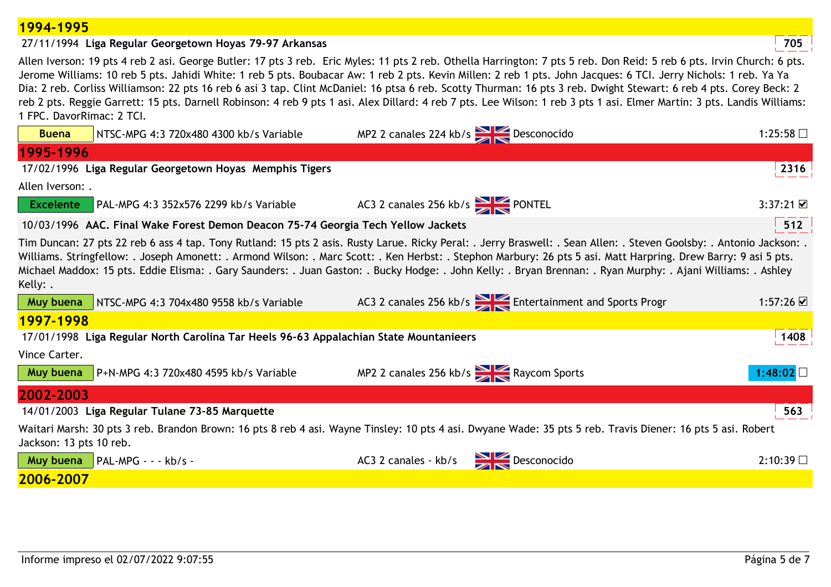#### **1994-1995**

## 27/11/1994 **<sup>705</sup>Liga Regular Georgetown Hoyas 79-97 Arkansas**

Allen Iverson: 19 pts 4 reb 2 asi. George Butler: 17 pts 3 reb. Eric Myles: 11 pts 2 reb. Othella Harrington: 7 pts 5 reb. Don Reid: 5 reb 6 pts. Irvin Church: 6 pts. Jerome Williams: 10 reb 5 pts. Jahidi White: 1 reb 5 pts. Boubacar Aw: 1 reb 2 pts. Kevin Millen: 2 reb 1 pts. John Jacques: 6 TCI. Jerry Nichols: 1 reb. Ya Ya Dia: 2 reb. Corliss Williamson: 22 pts 16 reb 6 asi 3 tap. Clint McDaniel: 16 ptsa 6 reb. Scotty Thurman: 16 pts 3 reb. Dwight Stewart: 6 reb 4 pts. Corey Beck: 2 reb 2 pts. Reggie Garrett: 15 pts. Darnell Robinson: 4 reb 9 pts 1 asi. Alex Dillard: 4 reb 7 pts. Lee Wilson: 1 reb 3 pts 1 asi. Elmer Martin: 3 pts. Landis Williams: 1 FPC. DavorRimac: 2 TCI.

| <b>Buena</b>                                                                                                                                                                                                                                                                                                                                                                                                                                                                                                         | NTSC-MPG 4:3 720x480 4300 kb/s Variable                                               | MP2 2 canales 224 kb/s Desconocido |                                                       | 1:25:58 $\Box$                  |
|----------------------------------------------------------------------------------------------------------------------------------------------------------------------------------------------------------------------------------------------------------------------------------------------------------------------------------------------------------------------------------------------------------------------------------------------------------------------------------------------------------------------|---------------------------------------------------------------------------------------|------------------------------------|-------------------------------------------------------|---------------------------------|
| 1995-1996                                                                                                                                                                                                                                                                                                                                                                                                                                                                                                            |                                                                                       |                                    |                                                       |                                 |
|                                                                                                                                                                                                                                                                                                                                                                                                                                                                                                                      | 17/02/1996 Liga Regular Georgetown Hoyas Memphis Tigers                               |                                    |                                                       | 2316                            |
| Allen Iverson: .                                                                                                                                                                                                                                                                                                                                                                                                                                                                                                     |                                                                                       |                                    |                                                       |                                 |
| <b>Excelente</b>                                                                                                                                                                                                                                                                                                                                                                                                                                                                                                     | $\overline{}$ PAL-MPG 4:3 352x576 2299 kb/s Variable                                  | AC3 2 canales 256 kb/s PONTEL      |                                                       | $3:37:21$ $\Box$                |
|                                                                                                                                                                                                                                                                                                                                                                                                                                                                                                                      | 10/03/1996 AAC. Final Wake Forest Demon Deacon 75-74 Georgia Tech Yellow Jackets      |                                    |                                                       | 512                             |
| Tim Duncan: 27 pts 22 reb 6 ass 4 tap. Tony Rutland: 15 pts 2 asis. Rusty Larue. Ricky Peral: . Jerry Braswell: . Sean Allen: . Steven Goolsby: . Antonio Jackson: .<br>Williams. Stringfellow: . Joseph Amonett: . Armond Wilson: . Marc Scott: . Ken Herbst: . Stephon Marbury: 26 pts 5 asi. Matt Harpring. Drew Barry: 9 asi 5 pts.<br>Michael Maddox: 15 pts. Eddie Elisma: . Gary Saunders: . Juan Gaston: . Bucky Hodge: . John Kelly: . Bryan Brennan: . Ryan Murphy: . Ajani Williams: . Ashley<br>Kelly: . |                                                                                       |                                    |                                                       |                                 |
| Muy buena                                                                                                                                                                                                                                                                                                                                                                                                                                                                                                            | NTSC-MPG 4:3 704x480 9558 kb/s Variable                                               |                                    | AC3 2 canales 256 kb/s Entertainment and Sports Progr | 1:57:26 $\overline{\mathbf{v}}$ |
| 1997-1998                                                                                                                                                                                                                                                                                                                                                                                                                                                                                                            |                                                                                       |                                    |                                                       |                                 |
|                                                                                                                                                                                                                                                                                                                                                                                                                                                                                                                      | 17/01/1998 Liga Regular North Carolina Tar Heels 96-63 Appalachian State Mountanieers |                                    |                                                       | 1408                            |
| Vince Carter.                                                                                                                                                                                                                                                                                                                                                                                                                                                                                                        |                                                                                       |                                    |                                                       |                                 |
| Muy buena                                                                                                                                                                                                                                                                                                                                                                                                                                                                                                            | $P+N-MPG 4:3 720x480 4595 kb/s Variable$                                              |                                    | MP2 2 canales 256 kb/s Raycom Sports                  | 1:48:02 $\square$               |
| 2002-2003                                                                                                                                                                                                                                                                                                                                                                                                                                                                                                            |                                                                                       |                                    |                                                       |                                 |
|                                                                                                                                                                                                                                                                                                                                                                                                                                                                                                                      | 14/01/2003 Liga Regular Tulane 73-85 Marquette                                        |                                    |                                                       | 563                             |
| Waitari Marsh: 30 pts 3 reb. Brandon Brown: 16 pts 8 reb 4 asi. Wayne Tinsley: 10 pts 4 asi. Dwyane Wade: 35 pts 5 reb. Travis Diener: 16 pts 5 asi. Robert<br>Jackson: 13 pts 10 reb.                                                                                                                                                                                                                                                                                                                               |                                                                                       |                                    |                                                       |                                 |
| Muy buena                                                                                                                                                                                                                                                                                                                                                                                                                                                                                                            | $\blacksquare$ PAL-MPG - - - kb/s -                                                   | AC3 2 canales - kb/s Desconocido   |                                                       | 2:10:39                         |
| 2006-2007                                                                                                                                                                                                                                                                                                                                                                                                                                                                                                            |                                                                                       |                                    |                                                       |                                 |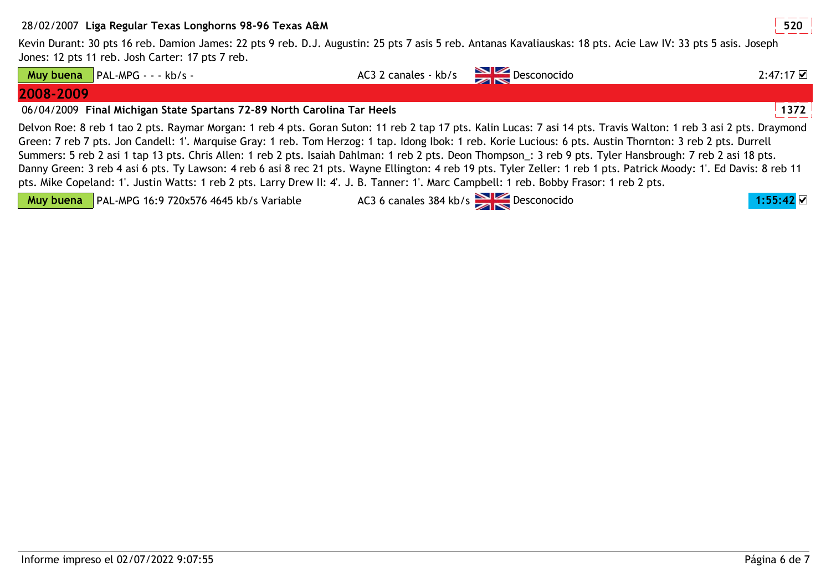## 28/02/2007 **<sup>520</sup>Liga Regular Texas Longhorns 98-96 Texas A&M**

Kevin Durant: 30 pts 16 reb. Damion James: 22 pts 9 reb. D.J. Augustin: 25 pts 7 asis 5 reb. Antanas Kavaliauskas: 18 pts. Acie Law IV: 33 pts 5 asis. Joseph Jones: 12 pts 11 reb. Josh Carter: 17 pts 7 reb.

**Muy buena**

PAL-MPG - - - kb/s - AC3 2 canales - kb/s Desconocido

**2008-2009**

06/04/2009 **<sup>1372</sup>Final Michigan State Spartans 72-89 North Carolina Tar Heels**

Delvon Roe: 8 reb 1 tao 2 pts. Raymar Morgan: 1 reb 4 pts. Goran Suton: 11 reb 2 tap 17 pts. Kalin Lucas: 7 asi 14 pts. Travis Walton: 1 reb 3 asi 2 pts. Draymond Green: 7 reb 7 pts. Jon Candell: 1'. Marquise Gray: 1 reb. Tom Herzog: 1 tap. Idong Ibok: 1 reb. Korie Lucious: 6 pts. Austin Thornton: 3 reb 2 pts. Durrell Summers: 5 reb 2 asi 1 tap 13 pts. Chris Allen: 1 reb 2 pts. Isaiah Dahlman: 1 reb 2 pts. Deon Thompson\_: 3 reb 9 pts. Tyler Hansbrough: 7 reb 2 asi 18 pts. Danny Green: 3 reb 4 asi 6 pts. Ty Lawson: 4 reb 6 asi 8 rec 21 pts. Wayne Ellington: 4 reb 19 pts. Tyler Zeller: 1 reb 1 pts. Patrick Moody: 1'. Ed Davis: 8 reb 11 pts. Mike Copeland: 1'. Justin Watts: 1 reb 2 pts. Larry Drew II: 4'. J. B. Tanner: 1'. Marc Campbell: 1 reb. Bobby Frasor: 1 reb 2 pts.

**Muy buena**PAL-MPG 16:9 720x576 4645 kb/s Variable AC3 6 canales 384 kb/s Desconocido **1:55:42** 

 $2:47:17$